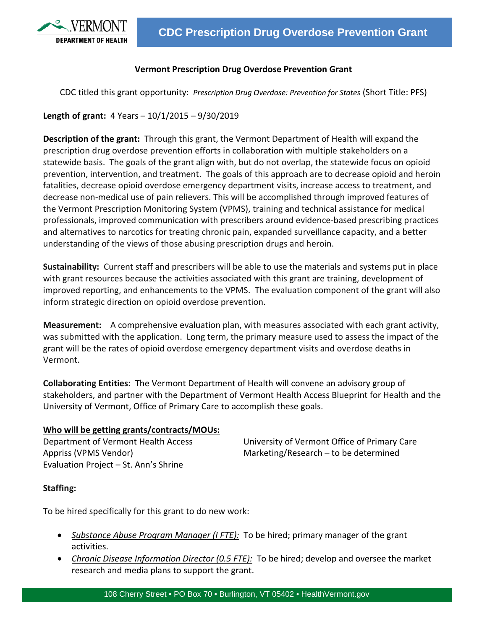

## **Vermont Prescription Drug Overdose Prevention Grant**

CDC titled this grant opportunity: *Prescription Drug Overdose: Prevention for States* (Short Title: PFS)

**Length of grant:** 4 Years – 10/1/2015 – 9/30/2019

**Description of the grant:** Through this grant, the Vermont Department of Health will expand the prescription drug overdose prevention efforts in collaboration with multiple stakeholders on a statewide basis. The goals of the grant align with, but do not overlap, the statewide focus on opioid prevention, intervention, and treatment. The goals of this approach are to decrease opioid and heroin fatalities, decrease opioid overdose emergency department visits, increase access to treatment, and decrease non-medical use of pain relievers. This will be accomplished through improved features of the Vermont Prescription Monitoring System (VPMS), training and technical assistance for medical professionals, improved communication with prescribers around evidence-based prescribing practices and alternatives to narcotics for treating chronic pain, expanded surveillance capacity, and a better understanding of the views of those abusing prescription drugs and heroin.

**Sustainability:** Current staff and prescribers will be able to use the materials and systems put in place with grant resources because the activities associated with this grant are training, development of improved reporting, and enhancements to the VPMS. The evaluation component of the grant will also inform strategic direction on opioid overdose prevention.

**Measurement:** A comprehensive evaluation plan, with measures associated with each grant activity, was submitted with the application. Long term, the primary measure used to assess the impact of the grant will be the rates of opioid overdose emergency department visits and overdose deaths in Vermont.

**Collaborating Entities:** The Vermont Department of Health will convene an advisory group of stakeholders, and partner with the Department of Vermont Health Access Blueprint for Health and the University of Vermont, Office of Primary Care to accomplish these goals.

## **Who will be getting grants/contracts/MOUs:**

Evaluation Project – St. Ann's Shrine

Department of Vermont Health Access University of Vermont Office of Primary Care Appriss (VPMS Vendor) Marketing/Research – to be determined

## **Staffing:**

To be hired specifically for this grant to do new work:

- *Substance Abuse Program Manager (I FTE):* To be hired; primary manager of the grant activities.
- *Chronic Disease Information Director (0.5 FTE):* To be hired; develop and oversee the market research and media plans to support the grant.